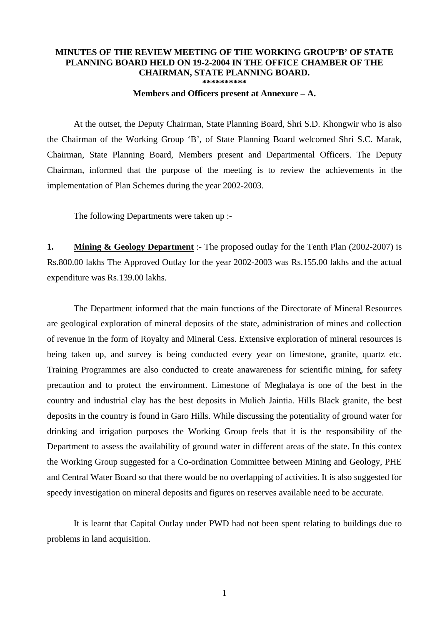## **MINUTES OF THE REVIEW MEETING OF THE WORKING GROUP'B' OF STATE PLANNING BOARD HELD ON 19-2-2004 IN THE OFFICE CHAMBER OF THE CHAIRMAN, STATE PLANNING BOARD.**

**\*\*\*\*\*\*\*\*\*\*** 

## **Members and Officers present at Annexure – A.**

 At the outset, the Deputy Chairman, State Planning Board, Shri S.D. Khongwir who is also the Chairman of the Working Group 'B', of State Planning Board welcomed Shri S.C. Marak, Chairman, State Planning Board, Members present and Departmental Officers. The Deputy Chairman, informed that the purpose of the meeting is to review the achievements in the implementation of Plan Schemes during the year 2002-2003.

The following Departments were taken up :-

**1. Mining & Geology Department** :- The proposed outlay for the Tenth Plan (2002-2007) is Rs.800.00 lakhs The Approved Outlay for the year 2002-2003 was Rs.155.00 lakhs and the actual expenditure was Rs.139.00 lakhs.

 The Department informed that the main functions of the Directorate of Mineral Resources are geological exploration of mineral deposits of the state, administration of mines and collection of revenue in the form of Royalty and Mineral Cess. Extensive exploration of mineral resources is being taken up, and survey is being conducted every year on limestone, granite, quartz etc. Training Programmes are also conducted to create anawareness for scientific mining, for safety precaution and to protect the environment. Limestone of Meghalaya is one of the best in the country and industrial clay has the best deposits in Mulieh Jaintia. Hills Black granite, the best deposits in the country is found in Garo Hills. While discussing the potentiality of ground water for drinking and irrigation purposes the Working Group feels that it is the responsibility of the Department to assess the availability of ground water in different areas of the state. In this contex the Working Group suggested for a Co-ordination Committee between Mining and Geology, PHE and Central Water Board so that there would be no overlapping of activities. It is also suggested for speedy investigation on mineral deposits and figures on reserves available need to be accurate.

 It is learnt that Capital Outlay under PWD had not been spent relating to buildings due to problems in land acquisition.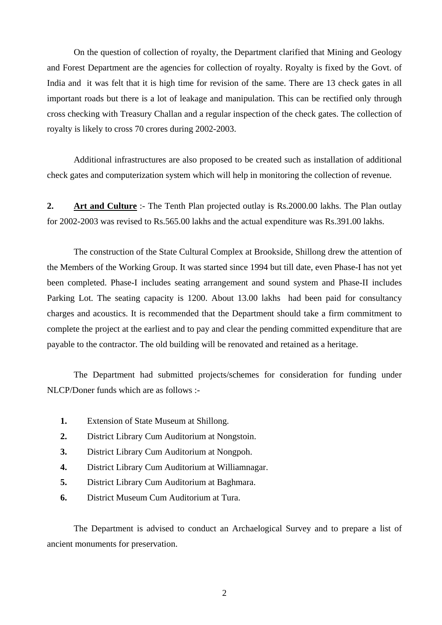On the question of collection of royalty, the Department clarified that Mining and Geology and Forest Department are the agencies for collection of royalty. Royalty is fixed by the Govt. of India and it was felt that it is high time for revision of the same. There are 13 check gates in all important roads but there is a lot of leakage and manipulation. This can be rectified only through cross checking with Treasury Challan and a regular inspection of the check gates. The collection of royalty is likely to cross 70 crores during 2002-2003.

 Additional infrastructures are also proposed to be created such as installation of additional check gates and computerization system which will help in monitoring the collection of revenue.

**2. Art and Culture** :- The Tenth Plan projected outlay is Rs.2000.00 lakhs. The Plan outlay for 2002-2003 was revised to Rs.565.00 lakhs and the actual expenditure was Rs.391.00 lakhs.

 The construction of the State Cultural Complex at Brookside, Shillong drew the attention of the Members of the Working Group. It was started since 1994 but till date, even Phase-I has not yet been completed. Phase-I includes seating arrangement and sound system and Phase-II includes Parking Lot. The seating capacity is 1200. About 13.00 lakhs had been paid for consultancy charges and acoustics. It is recommended that the Department should take a firm commitment to complete the project at the earliest and to pay and clear the pending committed expenditure that are payable to the contractor. The old building will be renovated and retained as a heritage.

 The Department had submitted projects/schemes for consideration for funding under NLCP/Doner funds which are as follows :-

- **1.** Extension of State Museum at Shillong.
- **2.** District Library Cum Auditorium at Nongstoin.
- **3.** District Library Cum Auditorium at Nongpoh.
- **4.** District Library Cum Auditorium at Williamnagar.
- **5.** District Library Cum Auditorium at Baghmara.
- **6.** District Museum Cum Auditorium at Tura.

The Department is advised to conduct an Archaelogical Survey and to prepare a list of ancient monuments for preservation.